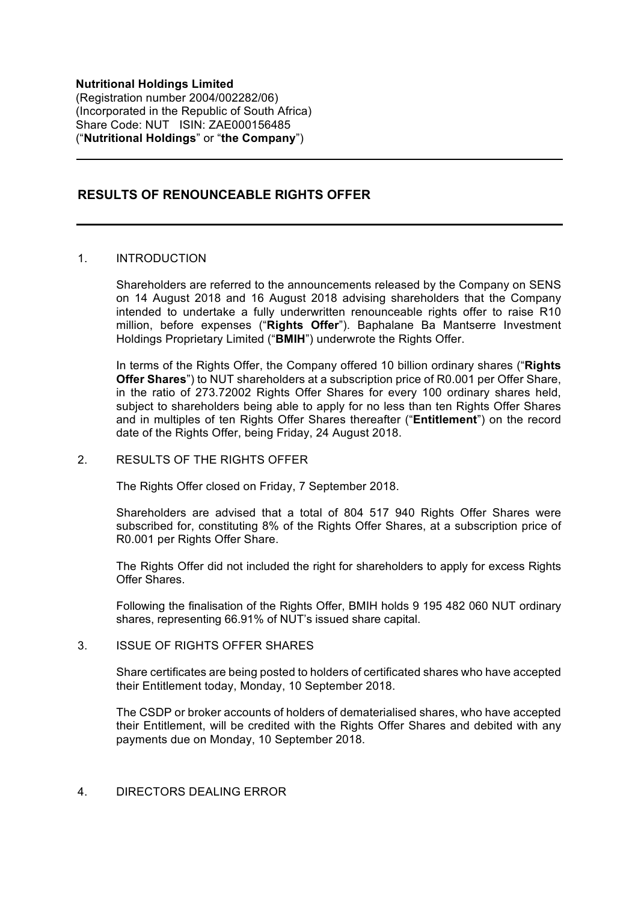**Nutritional Holdings Limited** (Registration number 2004/002282/06) (Incorporated in the Republic of South Africa) Share Code: NUT ISIN: ZAE000156485 ("**Nutritional Holdings**" or "**the Company**")

# **RESULTS OF RENOUNCEABLE RIGHTS OFFER**

### 1. INTRODUCTION

Shareholders are referred to the announcements released by the Company on SENS on 14 August 2018 and 16 August 2018 advising shareholders that the Company intended to undertake a fully underwritten renounceable rights offer to raise R10 million, before expenses ("**Rights Offer**"). Baphalane Ba Mantserre Investment Holdings Proprietary Limited ("**BMIH**") underwrote the Rights Offer.

In terms of the Rights Offer, the Company offered 10 billion ordinary shares ("**Rights Offer Shares**") to NUT shareholders at a subscription price of R0.001 per Offer Share, in the ratio of 273.72002 Rights Offer Shares for every 100 ordinary shares held, subject to shareholders being able to apply for no less than ten Rights Offer Shares and in multiples of ten Rights Offer Shares thereafter ("**Entitlement**") on the record date of the Rights Offer, being Friday, 24 August 2018.

### 2. RESULTS OF THE RIGHTS OFFER

The Rights Offer closed on Friday, 7 September 2018.

Shareholders are advised that a total of 804 517 940 Rights Offer Shares were subscribed for, constituting 8% of the Rights Offer Shares, at a subscription price of R0.001 per Rights Offer Share.

The Rights Offer did not included the right for shareholders to apply for excess Rights Offer Shares.

Following the finalisation of the Rights Offer, BMIH holds 9 195 482 060 NUT ordinary shares, representing 66.91% of NUT's issued share capital.

#### 3. ISSUE OF RIGHTS OFFER SHARES

Share certificates are being posted to holders of certificated shares who have accepted their Entitlement today, Monday, 10 September 2018.

The CSDP or broker accounts of holders of dematerialised shares, who have accepted their Entitlement, will be credited with the Rights Offer Shares and debited with any payments due on Monday, 10 September 2018.

## 4. DIRECTORS DEALING ERROR